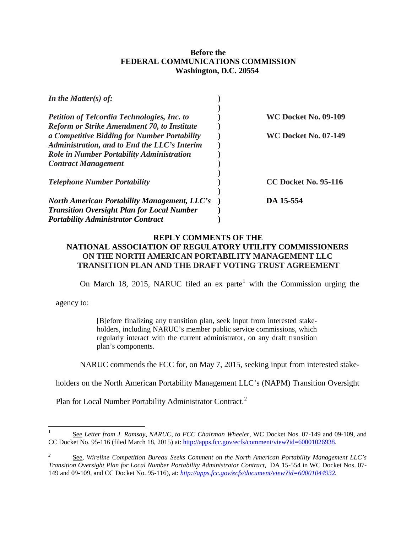## **Before the FEDERAL COMMUNICATIONS COMMISSION Washington, D.C. 20554**

| In the Matter(s) of:                                |                             |
|-----------------------------------------------------|-----------------------------|
|                                                     |                             |
| <b>Petition of Telcordia Technologies, Inc. to</b>  | <b>WC Docket No. 09-109</b> |
| <b>Reform or Strike Amendment 70, to Institute</b>  |                             |
| a Competitive Bidding for Number Portability        | <b>WC Docket No. 07-149</b> |
| Administration, and to End the LLC's Interim        |                             |
| <b>Role in Number Portability Administration</b>    |                             |
| <b>Contract Management</b>                          |                             |
|                                                     |                             |
| <b>Telephone Number Portability</b>                 | <b>CC Docket No. 95-116</b> |
|                                                     |                             |
| <b>North American Portability Management, LLC's</b> | DA 15-554                   |
| <b>Transition Oversight Plan for Local Number</b>   |                             |
| <b>Portability Administrator Contract</b>           |                             |

## **REPLY COMMENTS OF THE NATIONAL ASSOCIATION OF REGULATORY UTILITY COMMISSIONERS ON THE NORTH AMERICAN PORTABILITY MANAGEMENT LLC TRANSITION PLAN AND THE DRAFT VOTING TRUST AGREEMENT**

On March [1](#page-0-0)8, 2015, NARUC filed an ex parte<sup>1</sup> with the Commission urging the

agency to:

[B]efore finalizing any transition plan, seek input from interested stakeholders, including NARUC's member public service commissions, which regularly interact with the current administrator, on any draft transition plan's components.

NARUC commends the FCC for, on May 7, 2015, seeking input from interested stake-

holders on the North American Portability Management LLC's (NAPM) Transition Oversight

Plan for Local Number Portability Administrator Contract.<sup>[2](#page-0-1)</sup>

<span id="page-0-0"></span><sup>1</sup> See *Letter from J. Ramsay, NARUC, to FCC Chairman Wheeler,* WC Docket Nos. 07-149 and 09-109, and CC Docket No. 95-116 (filed March 18, 2015) at: [http://apps.fcc.gov/ecfs/comment/view?id=60001026938.](http://apps.fcc.gov/ecfs/comment/view?id=60001026938)

<span id="page-0-1"></span>*<sup>2</sup>* See, *Wireline Competition Bureau Seeks Comment on the North American Portability Management LLC's Transition Oversight Plan for Local Number Portability Administrator Contract,* DA 15-554 in WC Docket Nos. 07- 149 and 09-109, and CC Docket No. 95-116), at: *[http://apps.fcc.gov/ecfs/document/view?id=60001044932.](http://apps.fcc.gov/ecfs/document/view?id=60001044932)*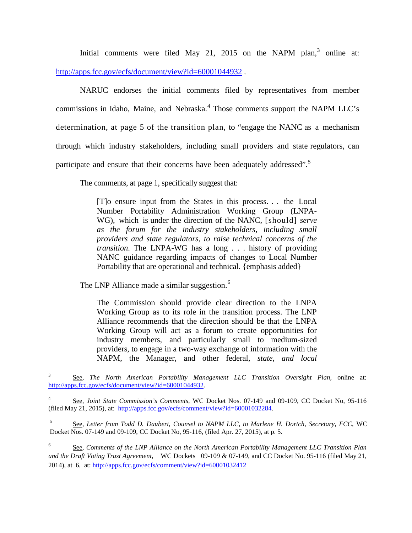Initial comments were filed May 21, 2015 on the NAPM plan, $3$  online at: <http://apps.fcc.gov/ecfs/document/view?id=60001044932>.

NARUC endorses the initial comments filed by representatives from member commissions in Idaho, Maine, and Nebraska. [4](#page-1-1) Those comments support the NAPM LLC's determination, at page 5 of the transition plan, to "engage the NANC as a mechanism through which industry stakeholders, including small providers and state regulators, can participate and ensure that their concerns have been adequately addressed".<sup>[5](#page-1-2)</sup>

The comments, at page 1, specifically suggest that:

[T]o ensure input from the States in this process. . . the Local Number Portability Administration Working Group (LNPA-WG), which is under the direction of the NANC, [should] *serve as the forum for the industry stakeholders, including small providers and state regulators, to raise technical concerns of the transition*. The LNPA-WG has a long . . . history of providing NANC guidance regarding impacts of changes to Local Number Portability that are operational and technical. {emphasis added}

The LNP Alliance made a similar suggestion.<sup>[6](#page-1-3)</sup>

The Commission should provide clear direction to the LNPA Working Group as to its role in the transition process. The LNP Alliance recommends that the direction should be that the LNPA Working Group will act as a forum to create opportunities for industry members, and particularly small to medium-sized providers, to engage in a two-way exchange of information with the NAPM, the Manager, and other federal, *state, and local* 

<span id="page-1-3"></span><sup>6</sup> See, *Comments of the LNP Alliance on the North American Portability Management LLC Transition Plan and the Draft Voting Trust Agreement*, WC Dockets 09-109 & 07-149, and CC Docket No. 95-116 (filed May 21, 2014), at 6, at[: http://apps.fcc.gov/ecfs/comment/view?id=60001032412](http://apps.fcc.gov/ecfs/comment/view?id=60001032412)

<span id="page-1-0"></span><sup>3</sup> See, *The North American Portability Management LLC Transition Oversight Plan*, online at: [http://apps.fcc.gov/ecfs/document/view?id=60001044932.](http://apps.fcc.gov/ecfs/document/view?id=60001044932)

<span id="page-1-1"></span><sup>4</sup> See, *Joint State Commission's Comments*, WC Docket Nos. 07-149 and 09-109, CC Docket No, 95-116 (filed May 21, 2015), at: [http://apps.fcc.gov/ecfs/comment/view?id=60001032284.](http://apps.fcc.gov/ecfs/comment/view?id=60001032284)

<span id="page-1-2"></span><sup>5</sup> See, *Letter from Todd D. Daubert, Counsel to NAPM LLC, to Marlene H. Dortch, Secretary, FCC*, WC Docket Nos. 07-149 and 09-109, CC Docket No, 95-116, (filed Apr. 27, 2015), at p. 5.